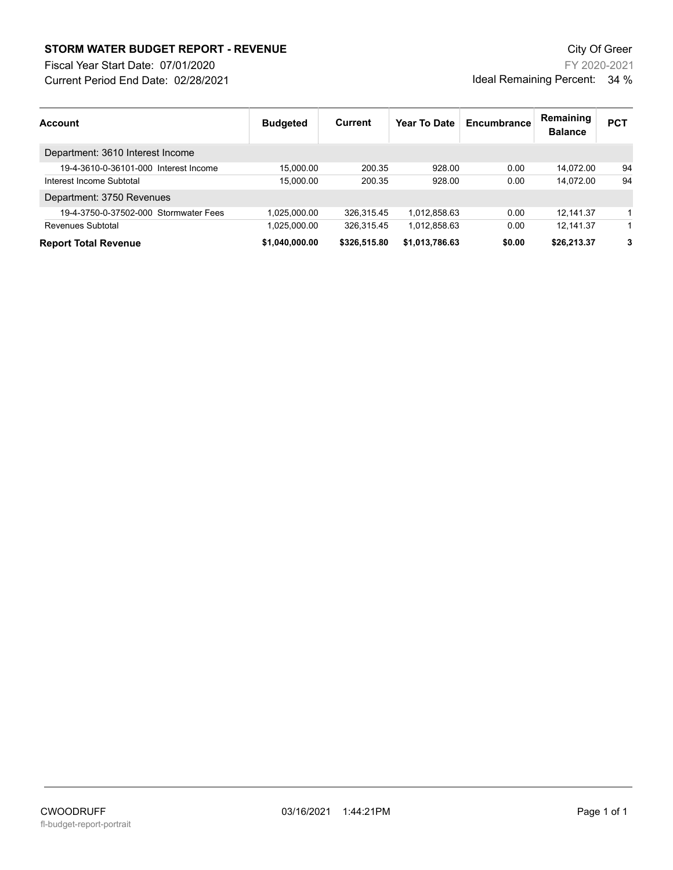## **STORM WATER BUDGET REPORT - REVENUE CONSUMPTER BUDGET REPORT - REVENUE**

Current Period End Date: 02/28/2021 Fiscal Year Start Date: 07/01/2020

FY 2020-2021 Ideal Remaining Percent: 34 %

| <b>Account</b>                        | <b>Budgeted</b> | Current      | Year To Date   | Encumbrance | Remaining<br><b>Balance</b> | <b>PCT</b> |
|---------------------------------------|-----------------|--------------|----------------|-------------|-----------------------------|------------|
| Department: 3610 Interest Income      |                 |              |                |             |                             |            |
| 19-4-3610-0-36101-000 Interest Income | 15.000.00       | 200.35       | 928.00         | 0.00        | 14.072.00                   | 94         |
| Interest Income Subtotal              | 15.000.00       | 200.35       | 928.00         | 0.00        | 14.072.00                   | 94         |
| Department: 3750 Revenues             |                 |              |                |             |                             |            |
| 19-4-3750-0-37502-000 Stormwater Fees | 1.025.000.00    | 326,315.45   | 1,012,858.63   | 0.00        | 12,141.37                   |            |
| Revenues Subtotal                     | 1.025.000.00    | 326.315.45   | 1.012.858.63   | 0.00        | 12.141.37                   |            |
| <b>Report Total Revenue</b>           | \$1.040.000.00  | \$326,515.80 | \$1,013,786.63 | \$0.00      | \$26,213.37                 | 3          |